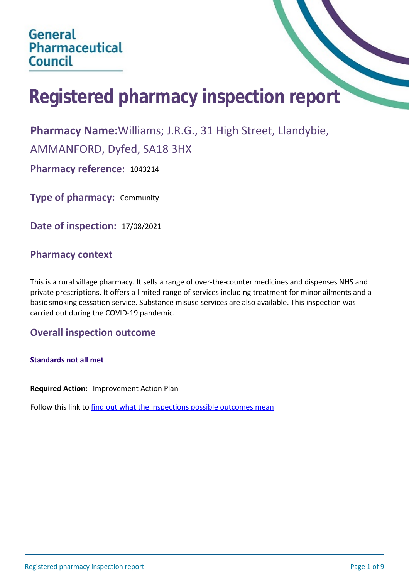# **Registered pharmacy inspection report**

**Pharmacy Name:**Williams; J.R.G., 31 High Street, Llandybie,

AMMANFORD, Dyfed, SA18 3HX

**Pharmacy reference:** 1043214

**Type of pharmacy:** Community

**Date of inspection:** 17/08/2021

## **Pharmacy context**

This is a rural village pharmacy. It sells a range of over-the-counter medicines and dispenses NHS and private prescriptions. It offers a limited range of services including treatment for minor ailments and a basic smoking cessation service. Substance misuse services are also available. This inspection was carried out during the COVID-19 pandemic.

## **Overall inspection outcome**

**Standards not all met**

**Required Action:** Improvement Action Plan

Follow this link to [find out what the inspections possible outcomes mean](#page-8-0)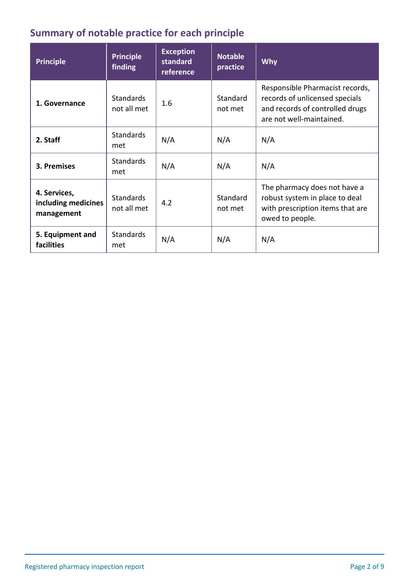## **Summary of notable practice for each principle**

| <b>Principle</b>                                  | <b>Principle</b><br>finding     | <b>Exception</b><br>standard<br>reference | <b>Notable</b><br>practice | <b>Why</b>                                                                                                                       |
|---------------------------------------------------|---------------------------------|-------------------------------------------|----------------------------|----------------------------------------------------------------------------------------------------------------------------------|
| 1. Governance                                     | <b>Standards</b><br>not all met | 1.6                                       | Standard<br>not met        | Responsible Pharmacist records,<br>records of unlicensed specials<br>and records of controlled drugs<br>are not well-maintained. |
| 2. Staff                                          | <b>Standards</b><br>met         | N/A                                       | N/A                        | N/A                                                                                                                              |
| 3. Premises                                       | <b>Standards</b><br>met         | N/A                                       | N/A                        | N/A                                                                                                                              |
| 4. Services,<br>including medicines<br>management | <b>Standards</b><br>not all met | 4.2                                       | Standard<br>not met        | The pharmacy does not have a<br>robust system in place to deal<br>with prescription items that are<br>owed to people.            |
| 5. Equipment and<br>facilities                    | <b>Standards</b><br>met         | N/A                                       | N/A                        | N/A                                                                                                                              |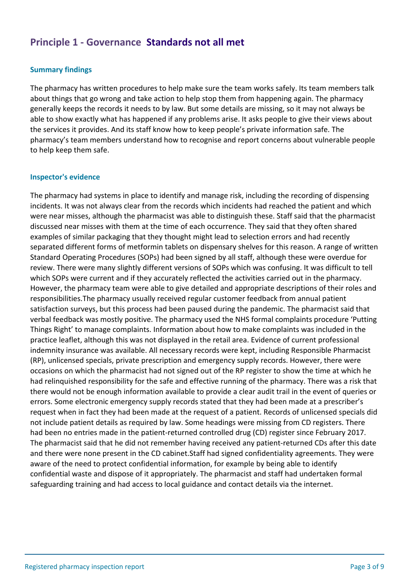## **Principle 1 - Governance Standards not all met**

#### **Summary findings**

The pharmacy has written procedures to help make sure the team works safely. Its team members talk about things that go wrong and take action to help stop them from happening again. The pharmacy generally keeps the records it needs to by law. But some details are missing, so it may not always be able to show exactly what has happened if any problems arise. It asks people to give their views about the services it provides. And its staff know how to keep people's private information safe. The pharmacy's team members understand how to recognise and report concerns about vulnerable people to help keep them safe.

#### **Inspector's evidence**

The pharmacy had systems in place to identify and manage risk, including the recording of dispensing incidents. It was not always clear from the records which incidents had reached the patient and which were near misses, although the pharmacist was able to distinguish these. Staff said that the pharmacist discussed near misses with them at the time of each occurrence. They said that they often shared examples of similar packaging that they thought might lead to selection errors and had recently separated different forms of metformin tablets on dispensary shelves for this reason. A range of written Standard Operating Procedures (SOPs) had been signed by all staff, although these were overdue for review. There were many slightly different versions of SOPs which was confusing. It was difficult to tell which SOPs were current and if they accurately reflected the activities carried out in the pharmacy. However, the pharmacy team were able to give detailed and appropriate descriptions of their roles and responsibilities.The pharmacy usually received regular customer feedback from annual patient satisfaction surveys, but this process had been paused during the pandemic. The pharmacist said that verbal feedback was mostly positive. The pharmacy used the NHS formal complaints procedure 'Putting Things Right' to manage complaints. Information about how to make complaints was included in the practice leaflet, although this was not displayed in the retail area. Evidence of current professional indemnity insurance was available. All necessary records were kept, including Responsible Pharmacist (RP), unlicensed specials, private prescription and emergency supply records. However, there were occasions on which the pharmacist had not signed out of the RP register to show the time at which he had relinquished responsibility for the safe and effective running of the pharmacy. There was a risk that there would not be enough information available to provide a clear audit trail in the event of queries or errors. Some electronic emergency supply records stated that they had been made at a prescriber's request when in fact they had been made at the request of a patient. Records of unlicensed specials did not include patient details as required by law. Some headings were missing from CD registers. There had been no entries made in the patient-returned controlled drug (CD) register since February 2017. The pharmacist said that he did not remember having received any patient-returned CDs after this date and there were none present in the CD cabinet.Staff had signed confidentiality agreements. They were aware of the need to protect confidential information, for example by being able to identify confidential waste and dispose of it appropriately. The pharmacist and staff had undertaken formal safeguarding training and had access to local guidance and contact details via the internet.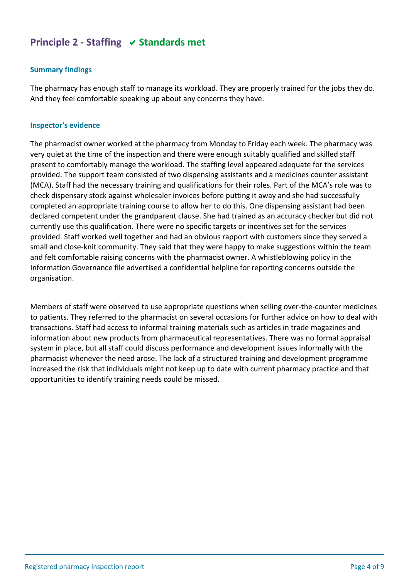## **Principle 2 - Staffing**  $\vee$  **Standards met**

## **Summary findings**

The pharmacy has enough staff to manage its workload. They are properly trained for the jobs they do. And they feel comfortable speaking up about any concerns they have.

#### **Inspector's evidence**

The pharmacist owner worked at the pharmacy from Monday to Friday each week. The pharmacy was very quiet at the time of the inspection and there were enough suitably qualified and skilled staff present to comfortably manage the workload. The staffing level appeared adequate for the services provided. The support team consisted of two dispensing assistants and a medicines counter assistant (MCA). Staff had the necessary training and qualifications for their roles. Part of the MCA's role was to check dispensary stock against wholesaler invoices before putting it away and she had successfully completed an appropriate training course to allow her to do this. One dispensing assistant had been declared competent under the grandparent clause. She had trained as an accuracy checker but did not currently use this qualification. There were no specific targets or incentives set for the services provided. Staff worked well together and had an obvious rapport with customers since they served a small and close-knit community. They said that they were happy to make suggestions within the team and felt comfortable raising concerns with the pharmacist owner. A whistleblowing policy in the Information Governance file advertised a confidential helpline for reporting concerns outside the organisation.

Members of staff were observed to use appropriate questions when selling over-the-counter medicines to patients. They referred to the pharmacist on several occasions for further advice on how to deal with transactions. Staff had access to informal training materials such as articles in trade magazines and information about new products from pharmaceutical representatives. There was no formal appraisal system in place, but all staff could discuss performance and development issues informally with the pharmacist whenever the need arose. The lack of a structured training and development programme increased the risk that individuals might not keep up to date with current pharmacy practice and that opportunities to identify training needs could be missed.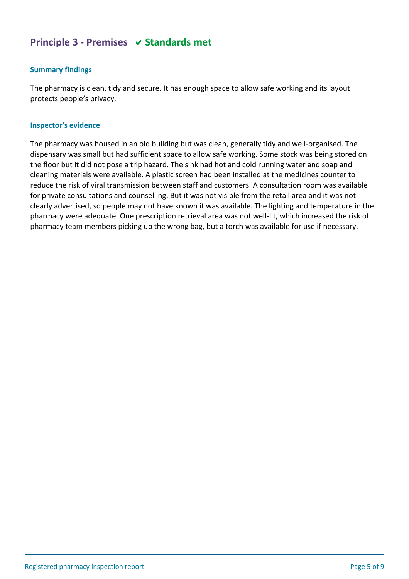## **Principle 3 - Premises**  $\vee$  **Standards met**

## **Summary findings**

The pharmacy is clean, tidy and secure. It has enough space to allow safe working and its layout protects people's privacy.

#### **Inspector's evidence**

The pharmacy was housed in an old building but was clean, generally tidy and well-organised. The dispensary was small but had sufficient space to allow safe working. Some stock was being stored on the floor but it did not pose a trip hazard. The sink had hot and cold running water and soap and cleaning materials were available. A plastic screen had been installed at the medicines counter to reduce the risk of viral transmission between staff and customers. A consultation room was available for private consultations and counselling. But it was not visible from the retail area and it was not clearly advertised, so people may not have known it was available. The lighting and temperature in the pharmacy were adequate. One prescription retrieval area was not well-lit, which increased the risk of pharmacy team members picking up the wrong bag, but a torch was available for use if necessary.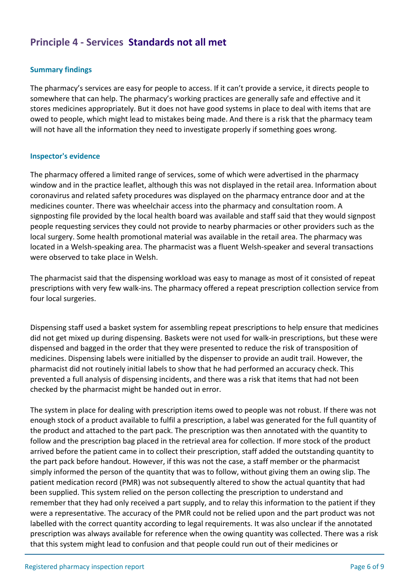## **Principle 4 - Services Standards not all met**

## **Summary findings**

The pharmacy's services are easy for people to access. If it can't provide a service, it directs people to somewhere that can help. The pharmacy's working practices are generally safe and effective and it stores medicines appropriately. But it does not have good systems in place to deal with items that are owed to people, which might lead to mistakes being made. And there is a risk that the pharmacy team will not have all the information they need to investigate properly if something goes wrong.

#### **Inspector's evidence**

The pharmacy offered a limited range of services, some of which were advertised in the pharmacy window and in the practice leaflet, although this was not displayed in the retail area. Information about coronavirus and related safety procedures was displayed on the pharmacy entrance door and at the medicines counter. There was wheelchair access into the pharmacy and consultation room. A signposting file provided by the local health board was available and staff said that they would signpost people requesting services they could not provide to nearby pharmacies or other providers such as the local surgery. Some health promotional material was available in the retail area. The pharmacy was located in a Welsh-speaking area. The pharmacist was a fluent Welsh-speaker and several transactions were observed to take place in Welsh.

The pharmacist said that the dispensing workload was easy to manage as most of it consisted of repeat prescriptions with very few walk-ins. The pharmacy offered a repeat prescription collection service from four local surgeries.

Dispensing staff used a basket system for assembling repeat prescriptions to help ensure that medicines did not get mixed up during dispensing. Baskets were not used for walk-in prescriptions, but these were dispensed and bagged in the order that they were presented to reduce the risk of transposition of medicines. Dispensing labels were initialled by the dispenser to provide an audit trail. However, the pharmacist did not routinely initial labels to show that he had performed an accuracy check. This prevented a full analysis of dispensing incidents, and there was a risk that items that had not been checked by the pharmacist might be handed out in error.

The system in place for dealing with prescription items owed to people was not robust. If there was not enough stock of a product available to fulfil a prescription, a label was generated for the full quantity of the product and attached to the part pack. The prescription was then annotated with the quantity to follow and the prescription bag placed in the retrieval area for collection. If more stock of the product arrived before the patient came in to collect their prescription, staff added the outstanding quantity to the part pack before handout. However, if this was not the case, a staff member or the pharmacist simply informed the person of the quantity that was to follow, without giving them an owing slip. The patient medication record (PMR) was not subsequently altered to show the actual quantity that had been supplied. This system relied on the person collecting the prescription to understand and remember that they had only received a part supply, and to relay this information to the patient if they were a representative. The accuracy of the PMR could not be relied upon and the part product was not labelled with the correct quantity according to legal requirements. It was also unclear if the annotated prescription was always available for reference when the owing quantity was collected. There was a risk that this system might lead to confusion and that people could run out of their medicines or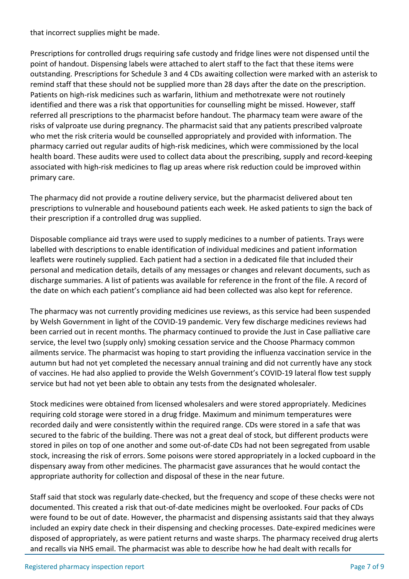that incorrect supplies might be made.

Prescriptions for controlled drugs requiring safe custody and fridge lines were not dispensed until the point of handout. Dispensing labels were attached to alert staff to the fact that these items were outstanding. Prescriptions for Schedule 3 and 4 CDs awaiting collection were marked with an asterisk to remind staff that these should not be supplied more than 28 days after the date on the prescription. Patients on high-risk medicines such as warfarin, lithium and methotrexate were not routinely identified and there was a risk that opportunities for counselling might be missed. However, staff referred all prescriptions to the pharmacist before handout. The pharmacy team were aware of the risks of valproate use during pregnancy. The pharmacist said that any patients prescribed valproate who met the risk criteria would be counselled appropriately and provided with information. The pharmacy carried out regular audits of high-risk medicines, which were commissioned by the local health board. These audits were used to collect data about the prescribing, supply and record-keeping associated with high-risk medicines to flag up areas where risk reduction could be improved within primary care.

The pharmacy did not provide a routine delivery service, but the pharmacist delivered about ten prescriptions to vulnerable and housebound patients each week. He asked patients to sign the back of their prescription if a controlled drug was supplied.

Disposable compliance aid trays were used to supply medicines to a number of patients. Trays were labelled with descriptions to enable identification of individual medicines and patient information leaflets were routinely supplied. Each patient had a section in a dedicated file that included their personal and medication details, details of any messages or changes and relevant documents, such as discharge summaries. A list of patients was available for reference in the front of the file. A record of the date on which each patient's compliance aid had been collected was also kept for reference.

The pharmacy was not currently providing medicines use reviews, as this service had been suspended by Welsh Government in light of the COVID-19 pandemic. Very few discharge medicines reviews had been carried out in recent months. The pharmacy continued to provide the Just in Case palliative care service, the level two (supply only) smoking cessation service and the Choose Pharmacy common ailments service. The pharmacist was hoping to start providing the influenza vaccination service in the autumn but had not yet completed the necessary annual training and did not currently have any stock of vaccines. He had also applied to provide the Welsh Government's COVID-19 lateral flow test supply service but had not yet been able to obtain any tests from the designated wholesaler.

Stock medicines were obtained from licensed wholesalers and were stored appropriately. Medicines requiring cold storage were stored in a drug fridge. Maximum and minimum temperatures were recorded daily and were consistently within the required range. CDs were stored in a safe that was secured to the fabric of the building. There was not a great deal of stock, but different products were stored in piles on top of one another and some out-of-date CDs had not been segregated from usable stock, increasing the risk of errors. Some poisons were stored appropriately in a locked cupboard in the dispensary away from other medicines. The pharmacist gave assurances that he would contact the appropriate authority for collection and disposal of these in the near future.

Staff said that stock was regularly date-checked, but the frequency and scope of these checks were not documented. This created a risk that out-of-date medicines might be overlooked. Four packs of CDs were found to be out of date. However, the pharmacist and dispensing assistants said that they always included an expiry date check in their dispensing and checking processes. Date-expired medicines were disposed of appropriately, as were patient returns and waste sharps. The pharmacy received drug alerts and recalls via NHS email. The pharmacist was able to describe how he had dealt with recalls for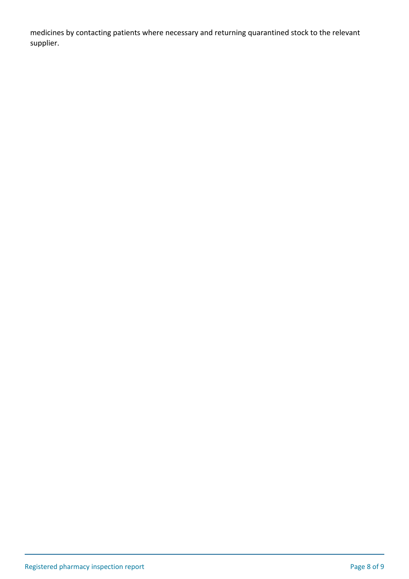medicines by contacting patients where necessary and returning quarantined stock to the relevant supplier.